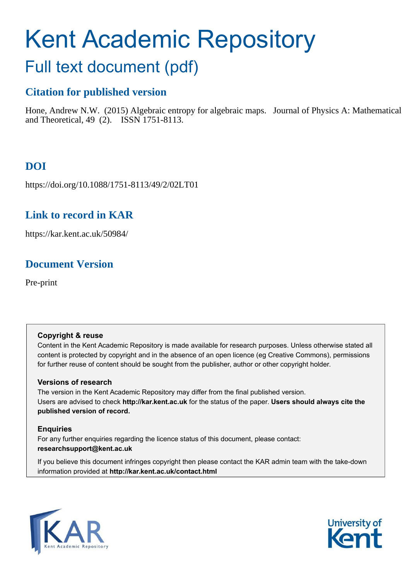# Kent Academic Repository

# Full text document (pdf)

# **Citation for published version**

Hone, Andrew N.W. (2015) Algebraic entropy for algebraic maps. Journal of Physics A: Mathematical and Theoretical, 49 (2). ISSN 1751-8113.

# **DOI**

https://doi.org/10.1088/1751-8113/49/2/02LT01

# **Link to record in KAR**

https://kar.kent.ac.uk/50984/

# **Document Version**

Pre-print

#### **Copyright & reuse**

Content in the Kent Academic Repository is made available for research purposes. Unless otherwise stated all content is protected by copyright and in the absence of an open licence (eg Creative Commons), permissions for further reuse of content should be sought from the publisher, author or other copyright holder.

#### **Versions of research**

The version in the Kent Academic Repository may differ from the final published version. Users are advised to check **http://kar.kent.ac.uk** for the status of the paper. **Users should always cite the published version of record.**

#### **Enquiries**

For any further enquiries regarding the licence status of this document, please contact: **researchsupport@kent.ac.uk**

If you believe this document infringes copyright then please contact the KAR admin team with the take-down information provided at **http://kar.kent.ac.uk/contact.html**



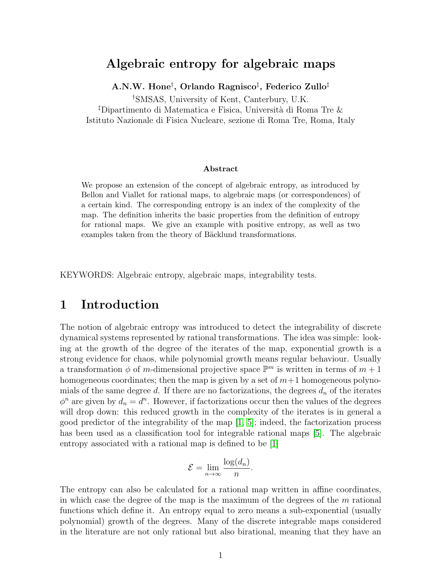### Algebraic entropy for algebraic maps

A.N.W. Hone $^{\dagger}$ , Orlando Ragnisco $^{\ddagger}$ , Federico Zullo $^{\ddagger}$ 

†SMSAS, University of Kent, Canterbury, U.K.

<sup>‡</sup>Dipartimento di Matematica e Fisica, Università di Roma Tre  $\&$ Istituto Nazionale di Fisica Nucleare, sezione di Roma Tre, Roma, Italy

#### Abstract

We propose an extension of the concept of algebraic entropy, as introduced by Bellon and Viallet for rational maps, to algebraic maps (or correspondences) of a certain kind. The corresponding entropy is an index of the complexity of the map. The definition inherits the basic properties from the definition of entropy for rational maps. We give an example with positive entropy, as well as two examples taken from the theory of Bäcklund transformations.

KEYWORDS: Algebraic entropy, algebraic maps, integrability tests.

# 1 Introduction

The notion of algebraic entropy was introduced to detect the integrability of discrete dynamical systems represented by rational transformations. The idea was simple: looking at the growth of the degree of the iterates of the map, exponential growth is a strong evidence for chaos, while polynomial growth means regular behaviour. Usually a transformation  $\phi$  of m-dimensional projective space  $\mathbb{P}^m$  is written in terms of  $m+1$ homogeneous coordinates; then the map is given by a set of  $m+1$  homogeneous polynomials of the same degree d. If there are no factorizations, the degrees  $d_n$  of the iterates  $\phi^n$  are given by  $d_n = d^n$ . However, if factorizations occur then the values of the degrees will drop down: this reduced growth in the complexity of the iterates is in general a good predictor of the integrability of the map [\[1,](#page-15-0) [5\]](#page-15-1); indeed, the factorization process has been used as a classification tool for integrable rational maps [\[5\]](#page-15-1). The algebraic entropy associated with a rational map is defined to be [\[1\]](#page-15-0)

$$
\mathcal{E} = \lim_{n \to \infty} \frac{\log(d_n)}{n}.
$$

The entropy can also be calculated for a rational map written in affine coordinates, in which case the degree of the map is the maximum of the degrees of the  $m$  rational functions which define it. An entropy equal to zero means a sub-exponential (usually polynomial) growth of the degrees. Many of the discrete integrable maps considered in the literature are not only rational but also birational, meaning that they have an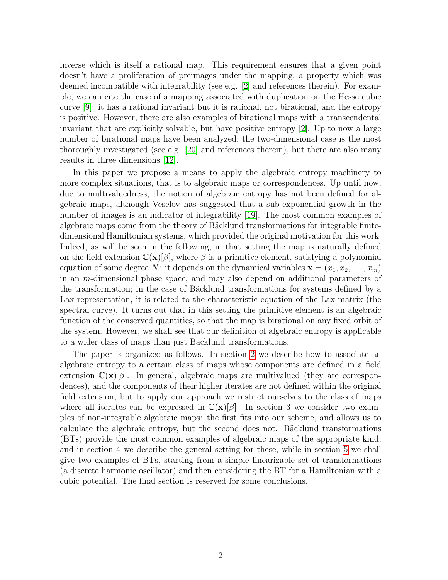<span id="page-2-0"></span>inverse which is itself a rational map. This requirement ensures that a given point doesn't have a proliferation of preimages under the mapping, a property which was deemed incompatible with integrability (see e.g. [\[2\]](#page-15-2) and references therein). For example, we can cite the case of a mapping associated with duplication on the Hesse cubic curve [\[9\]](#page-16-0): it has a rational invariant but it is rational, not birational, and the entropy is positive. However, there are also examples of birational maps with a transcendental invariant that are explicitly solvable, but have positive entropy [\[2\]](#page-15-2). Up to now a large number of birational maps have been analyzed; the two-dimensional case is the most thoroughly investigated (see e.g. [\[20\]](#page-16-1) and references therein), but there are also many results in three dimensions [\[12\]](#page-16-2).

<span id="page-2-4"></span><span id="page-2-1"></span>In this paper we propose a means to apply the algebraic entropy machinery to more complex situations, that is to algebraic maps or correspondences. Up until now, due to multivaluedness, the notion of algebraic entropy has not been defined for algebraic maps, although Veselov has suggested that a sub-exponential growth in the number of images is an indicator of integrability [\[19\]](#page-16-3). The most common examples of algebraic maps come from the theory of Bäcklund transformations for integrable finitedimensional Hamiltonian systems, which provided the original motivation for this work. Indeed, as will be seen in the following, in that setting the map is naturally defined on the field extension  $\mathbb{C}(\mathbf{x})[\beta]$ , where  $\beta$  is a primitive element, satisfying a polynomial equation of some degree N: it depends on the dynamical variables  $\mathbf{x} = (x_1, x_2, \ldots, x_m)$ in an m-dimensional phase space, and may also depend on additional parameters of the transformation; in the case of Bäcklund transformations for systems defined by a Lax representation, it is related to the characteristic equation of the Lax matrix (the spectral curve). It turns out that in this setting the primitive element is an algebraic function of the conserved quantities, so that the map is birational on any fixed orbit of the system. However, we shall see that our definition of algebraic entropy is applicable to a wider class of maps than just Bäcklund transformations.

<span id="page-2-3"></span><span id="page-2-2"></span>The paper is organized as follows. In section [2](#page-2-0) we describe how to associate an algebraic entropy to a certain class of maps whose components are defined in a field extension  $\mathbb{C}(\mathbf{x})[\beta]$ . In general, algebraic maps are multivalued (they are correspondences), and the components of their higher iterates are not defined within the original field extension, but to apply our approach we restrict ourselves to the class of maps where all iterates can be expressed in  $\mathbb{C}(\mathbf{x})[\beta]$ . In section 3 we consider two examples of non-integrable algebraic maps: the first fits into our scheme, and allows us to calculate the algebraic entropy, but the second does not. Bäcklund transformations (BTs) provide the most common examples of algebraic maps of the appropriate kind, and in section 4 we describe the general setting for these, while in section [5](#page-9-0) we shall give two examples of BTs, starting from a simple linearizable set of transformations (a discrete harmonic oscillator) and then considering the BT for a Hamiltonian with a cubic potential. The final section is reserved for some conclusions.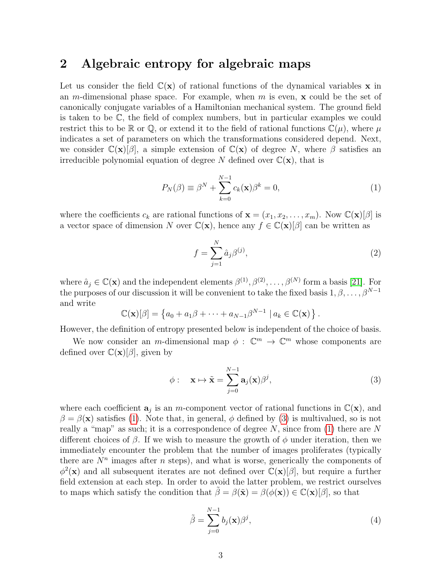### 2 Algebraic entropy for algebraic maps

Let us consider the field  $\mathbb{C}(\mathbf{x})$  of rational functions of the dynamical variables x in an m-dimensional phase space. For example, when m is even,  $\bf{x}$  could be the set of canonically conjugate variables of a Hamiltonian mechanical system. The ground field is taken to be C, the field of complex numbers, but in particular examples we could restrict this to be R or Q, or extend it to the field of rational functions  $\mathbb{C}(\mu)$ , where  $\mu$ indicates a set of parameters on which the transformations considered depend. Next, we consider  $\mathbb{C}(\mathbf{x})[\beta]$ , a simple extension of  $\mathbb{C}(\mathbf{x})$  of degree N, where  $\beta$  satisfies an irreducible polynomial equation of degree N defined over  $\mathbb{C}(\mathbf{x})$ , that is

<span id="page-3-3"></span><span id="page-3-0"></span>
$$
P_N(\beta) \equiv \beta^N + \sum_{k=0}^{N-1} c_k(\mathbf{x}) \beta^k = 0,
$$
\n(1)

where the coefficients  $c_k$  are rational functions of  $\mathbf{x} = (x_1, x_2, \dots, x_m)$ . Now  $\mathbb{C}(\mathbf{x})[\beta]$  is a vector space of dimension N over  $\mathbb{C}(\mathbf{x})$ , hence any  $f \in \mathbb{C}(\mathbf{x})[\beta]$  can be written as

<span id="page-3-5"></span>
$$
f = \sum_{j=1}^{N} \hat{a}_j \beta^{(j)},
$$
\n(2)

where  $\hat{a}_j \in \mathbb{C}(\mathbf{x})$  and the independent elements  $\beta^{(1)}, \beta^{(2)}, \ldots, \beta^{(N)}$  form a basis [\[21\]](#page-16-4). For the purposes of our discussion it will be convenient to take the fixed basis  $1, \beta, \ldots, \beta^{N-1}$ and write

<span id="page-3-1"></span>
$$
\mathbb{C}(\mathbf{x})[\beta] = \left\{ a_0 + a_1 \beta + \dots + a_{N-1} \beta^{N-1} \mid a_k \in \mathbb{C}(\mathbf{x}) \right\}.
$$

However, the definition of entropy presented below is independent of the choice of basis.

We now consider an *m*-dimensional map  $\phi : \mathbb{C}^m \to \mathbb{C}^m$  whose components are defined over  $\mathbb{C}(\mathbf{x})[\beta]$ , given by

<span id="page-3-4"></span>
$$
\phi: \quad \mathbf{x} \mapsto \tilde{\mathbf{x}} = \sum_{j=0}^{N-1} \mathbf{a}_j(\mathbf{x}) \beta^j,
$$
 (3)

where each coefficient  $a_j$  is an m-component vector of rational functions in  $\mathbb{C}(\mathbf{x})$ , and  $\beta = \beta(\mathbf{x})$  satisfies [\(1\)](#page-2-1). Note that, in general,  $\phi$  defined by [\(3\)](#page-2-2) is multivalued, so is not really a "map" as such; it is a correspondence of degree N, since from  $(1)$  there are N different choices of  $\beta$ . If we wish to measure the growth of  $\phi$  under iteration, then we immediately encounter the problem that the number of images proliferates (typically there are  $N^n$  images after n steps), and what is worse, generically the components of  $\phi^2(\mathbf{x})$  and all subsequent iterates are not defined over  $\mathbb{C}(\mathbf{x})[\beta]$ , but require a further field extension at each step. In order to avoid the latter problem, we restrict ourselves to maps which satisfy the condition that  $\hat{\beta} = \beta(\tilde{\mathbf{x}}) = \beta(\phi(\mathbf{x})) \in \mathbb{C}(\mathbf{x})[\beta]$ , so that

<span id="page-3-6"></span><span id="page-3-2"></span>
$$
\tilde{\beta} = \sum_{j=0}^{N-1} b_j(\mathbf{x}) \beta^j,
$$
\n(4)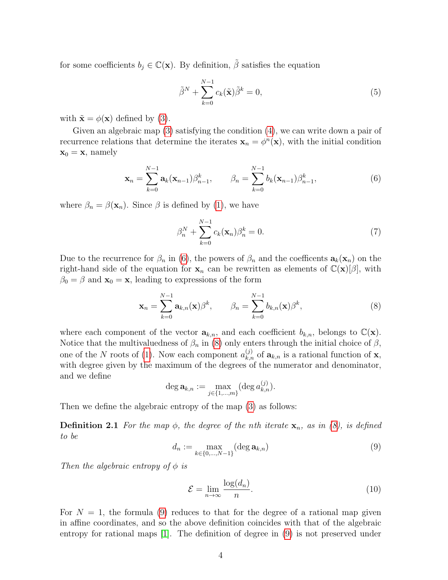for some coefficients  $b_j \in \mathbb{C}(\mathbf{x})$ . By definition,  $\tilde{\beta}$  satisfies the equation

$$
\tilde{\beta}^N + \sum_{k=0}^{N-1} c_k(\tilde{\mathbf{x}})\tilde{\beta}^k = 0,
$$
\n(5)

with  $\tilde{\mathbf{x}} = \phi(\mathbf{x})$  defined by [\(3\)](#page-2-2).

Given an algebraic map [\(3\)](#page-2-2) satisfying the condition [\(4\)](#page-2-3), we can write down a pair of recurrence relations that determine the iterates  $\mathbf{x}_n = \phi^n(\mathbf{x})$ , with the initial condition  $\mathbf{x}_0 = \mathbf{x}$ , namely

$$
\mathbf{x}_n = \sum_{k=0}^{N-1} \mathbf{a}_k(\mathbf{x}_{n-1}) \beta_{n-1}^k, \qquad \beta_n = \sum_{k=0}^{N-1} b_k(\mathbf{x}_{n-1}) \beta_{n-1}^k,
$$
(6)

where  $\beta_n = \beta(\mathbf{x}_n)$ . Since  $\beta$  is defined by [\(1\)](#page-2-1), we have

<span id="page-4-0"></span>
$$
\beta_n^N + \sum_{k=0}^{N-1} c_k(\mathbf{x}_n) \beta_n^k = 0.
$$
 (7)

Due to the recurrence for  $\beta_n$  in [\(6\)](#page-3-0), the powers of  $\beta_n$  and the coefficents  $\mathbf{a}_k(\mathbf{x}_n)$  on the right-hand side of the equation for  $x_n$  can be rewritten as elements of  $\mathbb{C}(x)[\beta]$ , with  $\beta_0 = \beta$  and  $\mathbf{x}_0 = \mathbf{x}$ , leading to expressions of the form

$$
\mathbf{x}_n = \sum_{k=0}^{N-1} \mathbf{a}_{k,n}(\mathbf{x}) \beta^k, \qquad \beta_n = \sum_{k=0}^{N-1} b_{k,n}(\mathbf{x}) \beta^k,
$$
 (8)

where each component of the vector  $\mathbf{a}_{k,n}$ , and each coefficient  $b_{k,n}$ , belongs to  $\mathbb{C}(\mathbf{x})$ . Notice that the multivaluedness of  $\beta_n$  in [\(8\)](#page-3-1) only enters through the initial choice of  $\beta$ , one of the N roots of [\(1\)](#page-2-1). Now each component  $a_{k,n}^{(j)}$  of  $\mathbf{a}_{k,n}$  is a rational function of **x**, with degree given by the maximum of the degrees of the numerator and denominator, and we define

$$
\deg \mathbf{a}_{k,n} := \max_{j \in \{1,\dots,m\}} (\deg a_{k,n}^{(j)}).
$$

Then we define the algebraic entropy of the map [\(3\)](#page-2-2) as follows:

**Definition 2.1** For the map  $\phi$ , the degree of the nth iterate  $\mathbf{x}_n$ , as in [\(8\)](#page-3-1), is defined to be

$$
d_n := \max_{k \in \{0, \ldots, N-1\}} (\deg \mathbf{a}_{k,n})
$$
\n<sup>(9)</sup>

Then the algebraic entropy of  $\phi$  is

$$
\mathcal{E} = \lim_{n \to \infty} \frac{\log(d_n)}{n}.
$$
\n(10)

For  $N = 1$ , the formula [\(9\)](#page-3-2) reduces to that for the degree of a rational map given in affine coordinates, and so the above definition coincides with that of the algebraic entropy for rational maps [\[1\]](#page-15-0). The definition of degree in [\(9\)](#page-3-2) is not preserved under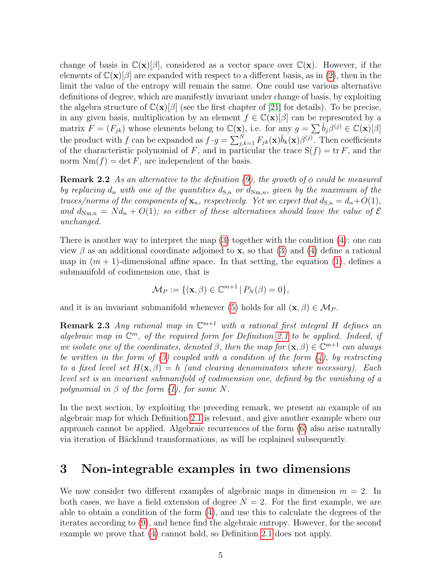<span id="page-5-1"></span>change of basis in  $\mathbb{C}(\mathbf{x})[\beta]$ , considered as a vector space over  $\mathbb{C}(\mathbf{x})$ . However, if the elements of  $\mathbb{C}(\mathbf{x})[\beta]$  are expanded with respect to a different basis, as in [\(2\)](#page-2-4), then in the limit the value of the entropy will remain the same. One could use various alternative definitions of degree, which are manifestly invariant under change of basis, by exploiting the algebra structure of  $\mathbb{C}(\mathbf{x})[\beta]$  (see the first chapter of [\[21\]](#page-16-4) for details). To be precise, in any given basis, multiplication by an element  $f \in \mathbb{C}(\mathbf{x})[\beta]$  can be represented by a matrix  $F = (F_{jk})$  whose elements belong to  $\mathbb{C}(\mathbf{x})$ , i.e. for any  $g = \sum \hat{b}_j \beta^{(j)} \in \mathbb{C}(\mathbf{x})[\beta]$ the product with f can be expanded as  $f \cdot g = \sum_{j,k=1}^{N} F_{jk}(\mathbf{x}) \hat{b}_k(\mathbf{x}) \beta^{(j)}$ . Then coefficients of the characteristic polynomial of F, and in particular the trace  $S(f) = tr F$ , and the norm  $Nm(f) = \det F$ , are independent of the basis.

<span id="page-5-0"></span>**Remark 2.2** As an alternative to the definition  $(9)$ , the growth of  $\phi$  could be measured by replacing  $d_n$  with one of the quantities  $d_{S,n}$  or  $d_{Nm,n}$ , given by the maximum of the traces/norms of the components of  $\mathbf{x}_n$ , respectively. Yet we expect that  $d_{\mathbf{S},n} = d_n + O(1)$ , and  $d_{Nm,n} = Nd_n + O(1)$ ; so either of these alternatives should leave the value of  $\mathcal E$ unchanged.

There is another way to interpret the map [\(3\)](#page-2-2) together with the condition [\(4\)](#page-2-3): one can view  $\beta$  as an additional coordinate adjoined to **x**, so that [\(3\)](#page-2-2) and [\(4\)](#page-2-3) define a rational map in  $(m + 1)$ -dimensional affine space. In that setting, the equation [\(1\)](#page-2-1), defines a submanifold of codimension one, that is

<span id="page-5-4"></span><span id="page-5-3"></span><span id="page-5-2"></span>
$$
\mathcal{M}_P := \{ (\mathbf{x}, \beta) \in \mathbb{C}^{m+1} \, | \, P_N(\beta) = 0 \},
$$

and it is an invariant submanifold whenever [\(5\)](#page-3-3) holds for all  $(\mathbf{x}, \beta) \in \mathcal{M}_P$ .

**Remark 2.3** Any rational map in  $\mathbb{C}^{m+1}$  with a rational first integral H defines an algebraic map in  $\mathbb{C}^m$ , of the required form for Definition [2.1](#page-3-4) to be applied. Indeed, if we isolate one of the coordinates, denoted  $\beta$ , then the map for  $(\mathbf{x}, \beta) \in \mathbb{C}^{m+1}$  can always be written in the form of [\(3\)](#page-2-2) coupled with a condition of the form  $(4)$ , by restricting to a fixed level set  $H(\mathbf{x}, \beta) = h$  (and clearing denominators where necessary). Each level set is an invariant submanifold of codimension one, defined by the vanishing of a polynomial in  $\beta$  of the form [\(1\)](#page-2-1), for some N.

In the next section, by exploiting the preceding remark, we present an example of an algebraic map for which Definition [2.1](#page-3-4) is relevant, and give another example where our approach cannot be applied. Algebraic recurrences of the form [\(6\)](#page-3-0) also arise naturally via iteration of Bäcklund transformations, as will be explained subsequently.

# 3 Non-integrable examples in two dimensions

We now consider two different examples of algebraic maps in dimension  $m = 2$ . In both cases, we have a field extension of degree  $N = 2$ . For the first example, we are able to obtain a condition of the form [\(4\)](#page-2-3), and use this to calculate the degrees of the iterates according to [\(9\)](#page-3-2), and hence find the algebraic entropy. However, for the second example we prove that [\(4\)](#page-2-3) cannot hold, so Definition [2.1](#page-3-4) does not apply.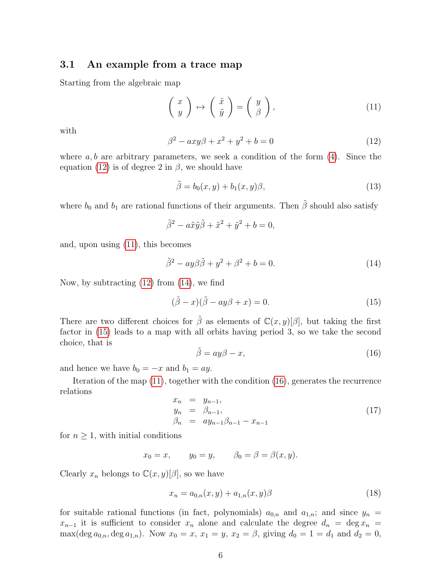#### 3.1 An example from a trace map

Starting from the algebraic map

$$
\left(\begin{array}{c} x \\ y \end{array}\right) \mapsto \left(\begin{array}{c} \tilde{x} \\ \tilde{y} \end{array}\right) = \left(\begin{array}{c} y \\ \beta \end{array}\right),\tag{11}
$$

with

$$
\beta^2 - axy\beta + x^2 + y^2 + b = 0 \tag{12}
$$

where  $a, b$  are arbitrary parameters, we seek a condition of the form  $(4)$ . Since the equation [\(12\)](#page-5-0) is of degree 2 in  $\beta$ , we should have

$$
\tilde{\beta} = b_0(x, y) + b_1(x, y)\beta,
$$
\n(13)

where  $b_0$  and  $b_1$  are rational functions of their arguments. Then  $\tilde{\beta}$  should also satisfy

<span id="page-6-2"></span>
$$
\tilde{\beta}^2 - a\tilde{x}\tilde{y}\tilde{\beta} + \tilde{x}^2 + \tilde{y}^2 + b = 0,
$$

and, upon using [\(11\)](#page-5-1), this becomes

<span id="page-6-0"></span>
$$
\tilde{\beta}^2 - ay\beta\tilde{\beta} + y^2 + \beta^2 + b = 0.
$$
\n(14)

Now, by subtracting [\(12\)](#page-5-0) from [\(14\)](#page-5-2), we find

$$
(\tilde{\beta} - x)(\tilde{\beta} - ay\beta + x) = 0.
$$
\n(15)

There are two different choices for  $\tilde{\beta}$  as elements of  $\mathbb{C}(x, y)[\beta]$ , but taking the first factor in [\(15\)](#page-5-3) leads to a map with all orbits having period 3, so we take the second choice, that is

$$
\tilde{\beta} = ay\beta - x,\tag{16}
$$

and hence we have  $b_0 = -x$  and  $b_1 = ay$ .

Iteration of the map [\(11\)](#page-5-1), together with the condition [\(16\)](#page-5-4), generates the recurrence relations

<span id="page-6-1"></span>
$$
x_n = y_{n-1}, \n y_n = \beta_{n-1}, \n \beta_n = ay_{n-1}\beta_{n-1} - x_{n-1}
$$
\n(17)

for  $n \geq 1$ , with initial conditions

$$
x_0 = x, \qquad y_0 = y, \qquad \beta_0 = \beta = \beta(x, y).
$$

Clearly  $x_n$  belongs to  $\mathbb{C}(x, y)[\beta]$ , so we have

$$
x_n = a_{0,n}(x, y) + a_{1,n}(x, y)\beta
$$
\n(18)

for suitable rational functions (in fact, polynomials)  $a_{0,n}$  and  $a_{1,n}$ ; and since  $y_n =$  $x_{n-1}$  it is sufficient to consider  $x_n$  alone and calculate the degree  $d_n = \deg x_n =$ max(deg  $a_{0,n}$ , deg  $a_{1,n}$ ). Now  $x_0 = x$ ,  $x_1 = y$ ,  $x_2 = \beta$ , giving  $d_0 = 1 = d_1$  and  $d_2 = 0$ ,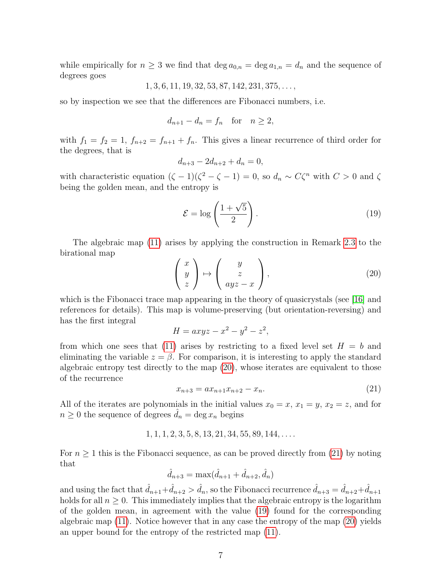while empirically for  $n \geq 3$  we find that  $\deg a_{0,n} = \deg a_{1,n} = d_n$  and the sequence of degrees goes

$$
1, 3, 6, 11, 19, 32, 53, 87, 142, 231, 375, \ldots,
$$

so by inspection we see that the differences are Fibonacci numbers, i.e.

$$
d_{n+1} - d_n = f_n \quad \text{for} \quad n \ge 2,
$$

with  $f_1 = f_2 = 1$ ,  $f_{n+2} = f_{n+1} + f_n$ . This gives a linear recurrence of third order for the degrees, that is

$$
d_{n+3} - 2d_{n+2} + d_n = 0,
$$

with characteristic equation  $(\zeta - 1)(\zeta^2 - \zeta - 1) = 0$ , so  $d_n \sim C\zeta^n$  with  $C > 0$  and  $\zeta$ being the golden mean, and the entropy is

<span id="page-7-0"></span>
$$
\mathcal{E} = \log\left(\frac{1+\sqrt{5}}{2}\right). \tag{19}
$$

The algebraic map [\(11\)](#page-5-1) arises by applying the construction in Remark [2.3](#page-4-0) to the birational map

<span id="page-7-1"></span>
$$
\begin{pmatrix} x \\ y \\ z \end{pmatrix} \mapsto \begin{pmatrix} y \\ z \\ ayz - x \end{pmatrix}, \tag{20}
$$

which is the Fibonacci trace map appearing in the theory of quasicrystals (see [\[16\]](#page-16-5) and references for details). This map is volume-preserving (but orientation-reversing) and has the first integral

$$
H = axyz - x^2 - y^2 - z^2,
$$

from which one sees that [\(11\)](#page-5-1) arises by restricting to a fixed level set  $H = b$  and eliminating the variable  $z = \beta$ . For comparison, it is interesting to apply the standard algebraic entropy test directly to the map [\(20\)](#page-6-0), whose iterates are equivalent to those of the recurrence

<span id="page-7-2"></span>
$$
x_{n+3} = ax_{n+1}x_{n+2} - x_n.
$$
 (21)

All of the iterates are polynomials in the initial values  $x_0 = x, x_1 = y, x_2 = z$ , and for  $n \geq 0$  the sequence of degrees  $d_n = \deg x_n$  begins

$$
1, 1, 1, 2, 3, 5, 8, 13, 21, 34, 55, 89, 144, \ldots
$$

For  $n \geq 1$  this is the Fibonacci sequence, as can be proved directly from [\(21\)](#page-6-1) by noting that

<span id="page-7-4"></span><span id="page-7-3"></span>
$$
\hat{d}_{n+3} = \max(\hat{d}_{n+1} + \hat{d}_{n+2}, \hat{d}_n)
$$

and using the fact that  $\hat{d}_{n+1}+\hat{d}_{n+2} > \hat{d}_n$ , so the Fibonacci recurrence  $\hat{d}_{n+3} = \hat{d}_{n+2}+\hat{d}_{n+1}$ holds for all  $n \geq 0$ . This immediately implies that the algebraic entropy is the logarithm of the golden mean, in agreement with the value [\(19\)](#page-6-2) found for the corresponding algebraic map [\(11\)](#page-5-1). Notice however that in any case the entropy of the map [\(20\)](#page-6-0) yields an upper bound for the entropy of the restricted map [\(11\)](#page-5-1).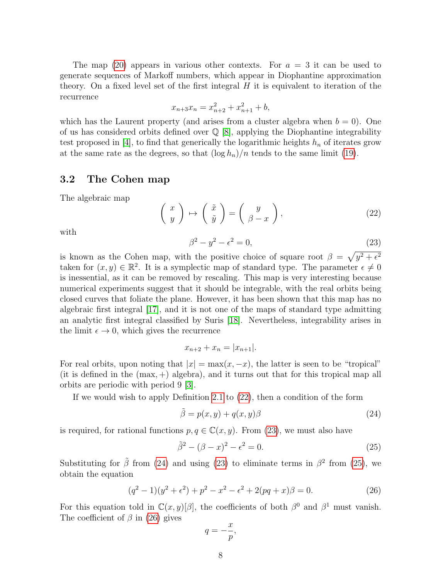The map [\(20\)](#page-6-0) appears in various other contexts. For  $a = 3$  it can be used to generate sequences of Markoff numbers, which appear in Diophantine approximation theory. On a fixed level set of the first integral  $H$  it is equivalent to iteration of the recurrence

$$
x_{n+3}x_n = x_{n+2}^2 + x_{n+1}^2 + b,
$$

which has the Laurent property (and arises from a cluster algebra when  $b = 0$ ). One of us has considered orbits defined over Q [\[8\]](#page-16-6), applying the Diophantine integrability test proposed in [\[4\]](#page-15-3), to find that generically the logarithmic heights  $h_n$  of iterates grow at the same rate as the degrees, so that  $(\log h_n)/n$  tends to the same limit [\(19\)](#page-6-2).

#### 3.2 The Cohen map

The algebraic map

$$
\left(\begin{array}{c} x \\ y \end{array}\right) \mapsto \left(\begin{array}{c} \tilde{x} \\ \tilde{y} \end{array}\right) = \left(\begin{array}{c} y \\ \beta - x \end{array}\right),\tag{22}
$$

with

<span id="page-8-0"></span>
$$
\beta^2 - y^2 - \epsilon^2 = 0,\t\t(23)
$$

is known as the Cohen map, with the positive choice of square root  $\beta = \sqrt{y^2 + \epsilon^2}$ taken for  $(x, y) \in \mathbb{R}^2$ . It is a symplectic map of standard type. The parameter  $\epsilon \neq 0$ is inessential, as it can be removed by rescaling. This map is very interesting because numerical experiments suggest that it should be integrable, with the real orbits being closed curves that foliate the plane. However, it has been shown that this map has no algebraic first integral [\[17\]](#page-16-7), and it is not one of the maps of standard type admitting an analytic first integral classified by Suris [\[18\]](#page-16-8). Nevertheless, integrability arises in the limit  $\epsilon \to 0$ , which gives the recurrence

$$
x_{n+2} + x_n = |x_{n+1}|.
$$

For real orbits, upon noting that  $|x| = \max(x, -x)$ , the latter is seen to be "tropical" (it is defined in the  $(max, +)$  algebra), and it turns out that for this tropical map all orbits are periodic with period 9 [\[3\]](#page-15-4).

If we would wish to apply Definition [2.1](#page-3-4) to [\(22\)](#page-7-0), then a condition of the form

$$
\tilde{\beta} = p(x, y) + q(x, y)\beta \tag{24}
$$

is required, for rational functions  $p, q \in \mathbb{C}(x, y)$ . From [\(23\)](#page-7-1), we must also have

$$
\tilde{\beta}^2 - (\beta - x)^2 - \epsilon^2 = 0.
$$
 (25)

Substituting for  $\tilde{\beta}$  from [\(24\)](#page-7-2) and using [\(23\)](#page-7-1) to eliminate terms in  $\beta^2$  from [\(25\)](#page-7-3), we obtain the equation

<span id="page-8-1"></span>
$$
(q2 - 1)(y2 + \epsilon2) + p2 - x2 - \epsilon2 + 2(pq + x)\beta = 0.
$$
 (26)

For this equation told in  $\mathbb{C}(x,y)[\beta]$ , the coefficients of both  $\beta^0$  and  $\beta^1$  must vanish. The coefficient of  $\beta$  in [\(26\)](#page-7-4) gives

$$
q=-\frac{x}{p},
$$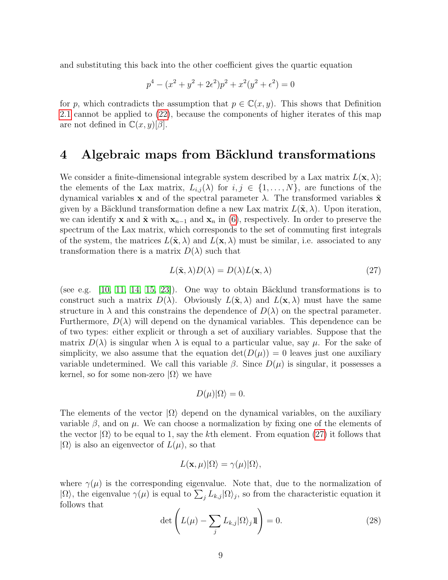and substituting this back into the other coefficient gives the quartic equation

$$
p^4 - (x^2 + y^2 + 2\epsilon^2)p^2 + x^2(y^2 + \epsilon^2) = 0
$$

for p, which contradicts the assumption that  $p \in \mathbb{C}(x, y)$ . This shows that Definition [2.1](#page-3-4) cannot be applied to [\(22\)](#page-7-0), because the components of higher iterates of this map are not defined in  $\mathbb{C}(x, y)[\beta]$ .

#### 4 Algebraic maps from Bäcklund transformations

We consider a finite-dimensional integrable system described by a Lax matrix  $L(\mathbf{x}, \lambda)$ ; the elements of the Lax matrix,  $L_{i,j}(\lambda)$  for  $i, j \in \{1, ..., N\}$ , are functions of the dynamical variables x and of the spectral parameter  $\lambda$ . The transformed variables  $\tilde{\mathbf{x}}$ given by a Bäcklund transformation define a new Lax matrix  $L(\tilde{\mathbf{x}}, \lambda)$ . Upon iteration, we can identify x and  $\tilde{\mathbf{x}}$  with  $\mathbf{x}_{n-1}$  and  $\mathbf{x}_n$  in [\(6\)](#page-3-0), respectively. In order to preserve the spectrum of the Lax matrix, which corresponds to the set of commuting first integrals of the system, the matrices  $L(\tilde{\mathbf{x}}, \lambda)$  and  $L(\mathbf{x}, \lambda)$  must be similar, i.e. associated to any transformation there is a matrix  $D(\lambda)$  such that

<span id="page-9-2"></span><span id="page-9-1"></span>
$$
L(\tilde{\mathbf{x}}, \lambda)D(\lambda) = D(\lambda)L(\mathbf{x}, \lambda)
$$
\n(27)

(see e.g.  $[10, 11, 14, 15, 23]$  $[10, 11, 14, 15, 23]$  $[10, 11, 14, 15, 23]$  $[10, 11, 14, 15, 23]$  $[10, 11, 14, 15, 23]$ ). One way to obtain Bäcklund transformations is to construct such a matrix  $D(\lambda)$ . Obviously  $L(\tilde{\mathbf{x}}, \lambda)$  and  $L(\mathbf{x}, \lambda)$  must have the same structure in  $\lambda$  and this constrains the dependence of  $D(\lambda)$  on the spectral parameter. Furthermore,  $D(\lambda)$  will depend on the dynamical variables. This dependence can be of two types: either explicit or through a set of auxiliary variables. Suppose that the matrix  $D(\lambda)$  is singular when  $\lambda$  is equal to a particular value, say  $\mu$ . For the sake of simplicity, we also assume that the equation  $\det(D(\mu)) = 0$  leaves just one auxiliary variable undetermined. We call this variable  $\beta$ . Since  $D(\mu)$  is singular, it possesses a kernel, so for some non-zero  $|\Omega\rangle$  we have

$$
D(\mu)|\Omega\rangle = 0.
$$

<span id="page-9-0"></span>The elements of the vector  $|\Omega\rangle$  depend on the dynamical variables, on the auxiliary variable  $\beta$ , and on  $\mu$ . We can choose a normalization by fixing one of the elements of the vector  $|\Omega\rangle$  to be equal to 1, say the kth element. From equation [\(27\)](#page-8-0) it follows that  $|\Omega\rangle$  is also an eigenvector of  $L(\mu)$ , so that

$$
L(\mathbf{x},\mu)|\Omega\rangle = \gamma(\mu)|\Omega\rangle,
$$

where  $\gamma(\mu)$  is the corresponding eigenvalue. Note that, due to the normalization of  $|\Omega\rangle$ , the eigenvalue  $\gamma(\mu)$  is equal to  $\sum_j L_{k,j} |\Omega\rangle_j$ , so from the characteristic equation it follows that

$$
\det\left(L(\mu) - \sum_{j} L_{k,j}|\Omega\rangle_j 1\!\!\!\Gamma\right) = 0.
$$
\n(28)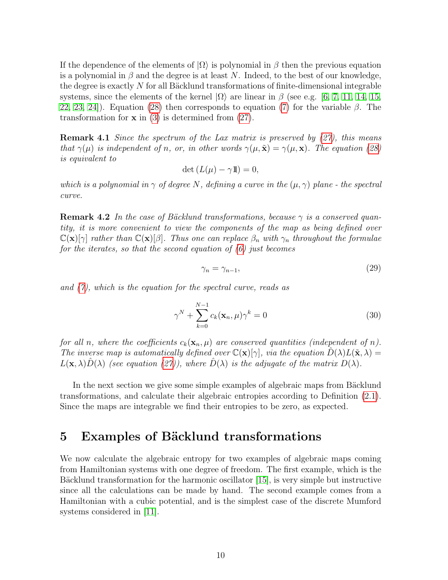<span id="page-10-0"></span>If the dependence of the elements of  $|\Omega\rangle$  is polynomial in  $\beta$  then the previous equation is a polynomial in  $\beta$  and the degree is at least N. Indeed, to the best of our knowledge, the degree is exactly  $N$  for all Bäcklund transformations of finite-dimensional integrable systems, since the elements of the kernel  $|\Omega\rangle$  are linear in  $\beta$  (see e.g. [\[6,](#page-15-5) [7,](#page-15-6) [11,](#page-16-10) [14,](#page-16-11) [15,](#page-16-12) [22,](#page-16-13) [23,](#page-17-0) [24\]](#page-17-1)). Equation [\(28\)](#page-8-1) then corresponds to equation [\(7\)](#page-3-5) for the variable  $\beta$ . The transformation for  $x$  in [\(3\)](#page-2-2) is determined from [\(27\)](#page-8-0).

**Remark 4.1** Since the spectrum of the Lax matrix is preserved by  $(27)$ , this means that  $\gamma(\mu)$  is independent of n, or, in other words  $\gamma(\mu, \tilde{\mathbf{x}}) = \gamma(\mu, \mathbf{x})$ . The equation [\(28\)](#page-8-1) is equivalent to

$$
\det\left(L(\mu)-\gamma\mathbb{1}\right)=0,
$$

which is a polynomial in  $\gamma$  of degree N, defining a curve in the  $(\mu, \gamma)$  plane - the spectral curve.

**Remark 4.2** In the case of Bäcklund transformations, because  $\gamma$  is a conserved quantity, it is more convenient to view the components of the map as being defined over  $\mathbb{C}(\mathbf{x})[\gamma]$  rather than  $\mathbb{C}(\mathbf{x})[\beta]$ . Thus one can replace  $\beta_n$  with  $\gamma_n$  throughout the formulae for the iterates, so that the second equation of  $(6)$  just becomes

$$
\gamma_n = \gamma_{n-1},\tag{29}
$$

and [\(7\)](#page-3-5), which is the equation for the spectral curve, reads as

<span id="page-10-1"></span>
$$
\gamma^N + \sum_{k=0}^{N-1} c_k(\mathbf{x}_n, \mu) \gamma^k = 0
$$
\n(30)

for all n, where the coefficients  $c_k(\mathbf{x}_n, \mu)$  are conserved quantities (independent of n). The inverse map is automatically defined over  $\mathbb{C}(\mathbf{x})[\gamma]$ , via the equation  $D(\lambda)L(\tilde{\mathbf{x}},\lambda) =$  $L(\mathbf{x}, \lambda)D(\lambda)$  (see equation [\(27\)](#page-8-0)), where  $D(\lambda)$  is the adjugate of the matrix  $D(\lambda)$ .

In the next section we give some simple examples of algebraic maps from Bäcklund transformations, and calculate their algebraic entropies according to Definition [\(2.1\)](#page-3-4). Since the maps are integrable we find their entropies to be zero, as expected.

#### 5 Examples of Bäcklund transformations

We now calculate the algebraic entropy for two examples of algebraic maps coming from Hamiltonian systems with one degree of freedom. The first example, which is the Bäcklund transformation for the harmonic oscillator  $[15]$ , is very simple but instructive since all the calculations can be made by hand. The second example comes from a Hamiltonian with a cubic potential, and is the simplest case of the discrete Mumford systems considered in [\[11\]](#page-16-10).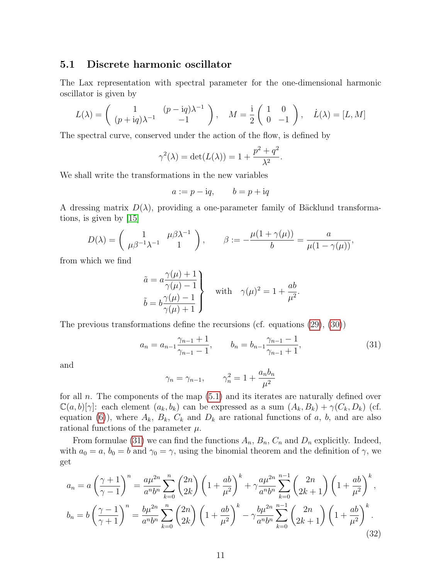#### 5.1 Discrete harmonic oscillator

The Lax representation with spectral parameter for the one-dimensional harmonic oscillator is given by

$$
L(\lambda) = \begin{pmatrix} 1 & (p - iq)\lambda^{-1} \\ (p + iq)\lambda^{-1} & -1 \end{pmatrix}, \quad M = \frac{i}{2} \begin{pmatrix} 1 & 0 \\ 0 & -1 \end{pmatrix}, \quad \dot{L}(\lambda) = [L, M]
$$

The spectral curve, conserved under the action of the flow, is defined by

$$
\gamma^{2}(\lambda) = \det(L(\lambda)) = 1 + \frac{p^{2} + q^{2}}{\lambda^{2}}.
$$

We shall write the transformations in the new variables

$$
a := p - \mathrm{i}q, \qquad b = p + \mathrm{i}q
$$

A dressing matrix  $D(\lambda)$ , providing a one-parameter family of Bäcklund transformations, is given by [\[15\]](#page-16-12)

$$
D(\lambda) = \begin{pmatrix} 1 & \mu \beta \lambda^{-1} \\ \mu \beta^{-1} \lambda^{-1} & 1 \end{pmatrix}, \qquad \beta := -\frac{\mu(1 + \gamma(\mu))}{b} = \frac{a}{\mu(1 - \gamma(\mu))},
$$

from which we find

$$
\tilde{a} = a \frac{\gamma(\mu) + 1}{\gamma(\mu) - 1} \}
$$
 with  $\gamma(\mu)^2 = 1 + \frac{ab}{\mu^2}$ .  
\n
$$
\tilde{b} = b \frac{\gamma(\mu) - 1}{\gamma(\mu) + 1}
$$

The previous transformations define the recursions (cf. equations [\(29\)](#page-9-1), [\(30\)](#page-9-2))

$$
a_n = a_{n-1} \frac{\gamma_{n-1} + 1}{\gamma_{n-1} - 1}, \qquad b_n = b_{n-1} \frac{\gamma_{n-1} - 1}{\gamma_{n-1} + 1}, \tag{31}
$$

and

<span id="page-11-1"></span>
$$
\gamma_n = \gamma_{n-1}, \qquad \gamma_n^2 = 1 + \frac{a_n b_n}{\mu^2}
$$

for all n. The components of the map  $(5.1)$  and its iterates are naturally defined over  $\mathbb{C}(a, b)[\gamma]$ : each element  $(a_k, b_k)$  can be expressed as a sum  $(A_k, B_k) + \gamma(C_k, D_k)$  (cf. equation [\(6\)](#page-3-0)), where  $A_k$ ,  $B_k$ ,  $C_k$  and  $D_k$  are rational functions of a, b, and are also rational functions of the parameter  $\mu$ .

From formulae [\(31\)](#page-10-1) we can find the functions  $A_n$ ,  $B_n$ ,  $C_n$  and  $D_n$  explicitly. Indeed, with  $a_0 = a$ ,  $b_0 = b$  and  $\gamma_0 = \gamma$ , using the binomial theorem and the definition of  $\gamma$ , we get

<span id="page-11-0"></span>
$$
a_n = a \left(\frac{\gamma + 1}{\gamma - 1}\right)^n = \frac{a\mu^{2n}}{a^n b^n} \sum_{k=0}^n {2n \choose 2k} \left(1 + \frac{ab}{\mu^2}\right)^k + \gamma \frac{a\mu^{2n}}{a^n b^n} \sum_{k=0}^{n-1} {2n \choose 2k+1} \left(1 + \frac{ab}{\mu^2}\right)^k,
$$
  

$$
b_n = b \left(\frac{\gamma - 1}{\gamma + 1}\right)^n = \frac{b\mu^{2n}}{a^n b^n} \sum_{k=0}^n {2n \choose 2k} \left(1 + \frac{ab}{\mu^2}\right)^k - \gamma \frac{b\mu^{2n}}{a^n b^n} \sum_{k=0}^{n-1} {2n \choose 2k+1} \left(1 + \frac{ab}{\mu^2}\right)^k.
$$
(32)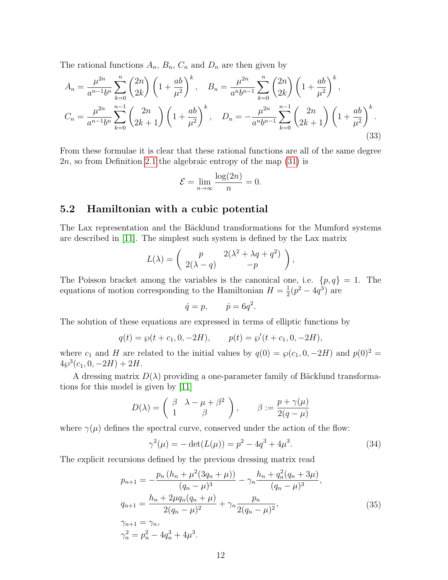The rational functions  $A_n$ ,  $B_n$ ,  $C_n$  and  $D_n$  are then given by

$$
A_n = \frac{\mu^{2n}}{a^{n-1}b^n} \sum_{k=0}^n {2n \choose 2k} \left(1 + \frac{ab}{\mu^2}\right)^k, \quad B_n = \frac{\mu^{2n}}{a^n b^{n-1}} \sum_{k=0}^n {2n \choose 2k} \left(1 + \frac{ab}{\mu^2}\right)^k,
$$
  

$$
C_n = \frac{\mu^{2n}}{a^{n-1}b^n} \sum_{k=0}^{n-1} {2n \choose 2k+1} \left(1 + \frac{ab}{\mu^2}\right)^k, \quad D_n = -\frac{\mu^{2n}}{a^n b^{n-1}} \sum_{k=0}^{n-1} {2n \choose 2k+1} \left(1 + \frac{ab}{\mu^2}\right)^k.
$$
(33)

From these formulae it is clear that these rational functions are all of the same degree 2n, so from Definition [2.1](#page-3-4) the algebraic entropy of the map [\(31\)](#page-10-1) is

<span id="page-12-2"></span>
$$
\mathcal{E} = \lim_{n \to \infty} \frac{\log(2n)}{n} = 0.
$$

#### 5.2 Hamiltonian with a cubic potential

The Lax representation and the Bäcklund transformations for the Mumford systems are described in [\[11\]](#page-16-10). The simplest such system is defined by the Lax matrix

<span id="page-12-0"></span>
$$
L(\lambda) = \begin{pmatrix} p & 2(\lambda^2 + \lambda q + q^2) \\ 2(\lambda - q) & -p \end{pmatrix},
$$

The Poisson bracket among the variables is the canonical one, i.e.  $\{p,q\} = 1$ . The equations of motion corresponding to the Hamiltonian  $H = \frac{1}{2}$  $\frac{1}{2}(p^2 - 4q^3)$  are

$$
\dot{q} = p, \qquad \dot{p} = 6q^2.
$$

The solution of these equations are expressed in terms of elliptic functions by

$$
q(t) = \wp(t + c_1, 0, -2H), \qquad p(t) = \wp'(t + c_1, 0, -2H),
$$

where  $c_1$  and H are related to the initial values by  $q(0) = \wp(c_1, 0, -2H)$  and  $p(0)^2 =$  $4\wp^3(c_1, 0, -2H) + 2H.$ 

A dressing matrix  $D(\lambda)$  providing a one-parameter family of Bäcklund transformations for this model is given by [\[11\]](#page-16-10)

$$
D(\lambda) = \begin{pmatrix} \beta & \lambda - \mu + \beta^2 \\ 1 & \beta \end{pmatrix}, \qquad \beta := \frac{p + \gamma(\mu)}{2(q - \mu)}
$$

where  $\gamma(\mu)$  defines the spectral curve, conserved under the action of the flow:

$$
\gamma^{2}(\mu) = -\det(L(\mu)) = p^{2} - 4q^{3} + 4\mu^{3}.
$$
 (34)

<span id="page-12-1"></span>The explicit recursions defined by the previous dressing matrix read

$$
p_{n+1} = -\frac{p_n (h_n + \mu^2 (3q_n + \mu))}{(q_n - \mu)^3} - \gamma_n \frac{h_n + q_n^2 (q_n + 3\mu)}{(q_n - \mu)^3},
$$
  
\n
$$
q_{n+1} = \frac{h_n + 2\mu q_n (q_n + \mu)}{2(q_n - \mu)^2} + \gamma_n \frac{p_n}{2(q_n - \mu)^2},
$$
  
\n
$$
\gamma_{n+1} = \gamma_n,
$$
  
\n
$$
\gamma_n^2 = p_n^2 - 4q_n^3 + 4\mu^3.
$$
\n(35)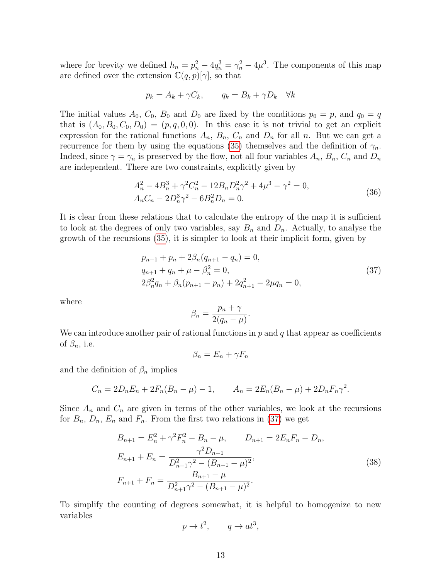<span id="page-13-0"></span>where for brevity we defined  $h_n = p_n^2 - 4q_n^3 = \gamma_n^2 - 4\mu^3$ . The components of this map are defined over the extension  $\mathbb{C}(q,p)[\gamma]$ , so that

$$
p_k = A_k + \gamma C_k, \qquad q_k = B_k + \gamma D_k \quad \forall k
$$

The initial values  $A_0$ ,  $C_0$ ,  $B_0$  and  $D_0$  are fixed by the conditions  $p_0 = p$ , and  $q_0 = q$ that is  $(A_0, B_0, C_0, D_0) = (p, q, 0, 0)$ . In this case it is not trivial to get an explicit expression for the rational functions  $A_n$ ,  $B_n$ ,  $C_n$  and  $D_n$  for all n. But we can get a recurrence for them by using the equations [\(35\)](#page-11-0) themselves and the definition of  $\gamma_n$ . Indeed, since  $\gamma = \gamma_n$  is preserved by the flow, not all four variables  $A_n$ ,  $B_n$ ,  $C_n$  and  $D_n$ are independent. There are two constraints, explicitly given by

$$
A_n^2 - 4B_n^3 + \gamma^2 C_n^2 - 12B_n D_n^2 \gamma^2 + 4\mu^3 - \gamma^2 = 0,
$$
  
\n
$$
A_n C_n - 2D_n^3 \gamma^2 - 6B_n^2 D_n = 0.
$$
\n(36)

It is clear from these relations that to calculate the entropy of the map it is sufficient to look at the degrees of only two variables, say  $B_n$  and  $D_n$ . Actually, to analyse the growth of the recursions [\(35\)](#page-11-0), it is simpler to look at their implicit form, given by

$$
p_{n+1} + p_n + 2\beta_n(q_{n+1} - q_n) = 0,
$$
  
\n
$$
q_{n+1} + q_n + \mu - \beta_n^2 = 0,
$$
  
\n
$$
2\beta_n^2 q_n + \beta_n(p_{n+1} - p_n) + 2q_{n+1}^2 - 2\mu q_n = 0,
$$
\n(37)

<span id="page-13-1"></span>where

$$
\beta_n = \frac{p_n + \gamma}{2(q_n - \mu)}.
$$

We can introduce another pair of rational functions in  $p$  and  $q$  that appear as coefficients of  $\beta_n$ , i.e.

$$
\beta_n = E_n + \gamma F_n
$$

and the definition of  $\beta_n$  implies

$$
C_n = 2D_n E_n + 2F_n (B_n - \mu) - 1, \qquad A_n = 2E_n (B_n - \mu) + 2D_n F_n \gamma^2.
$$

Since  $A_n$  and  $C_n$  are given in terms of the other variables, we look at the recursions for  $B_n$ ,  $D_n$ ,  $E_n$  and  $F_n$ . From the first two relations in [\(37\)](#page-12-0) we get

$$
B_{n+1} = E_n^2 + \gamma^2 F_n^2 - B_n - \mu, \qquad D_{n+1} = 2E_n F_n - D_n,
$$
  
\n
$$
E_{n+1} + E_n = \frac{\gamma^2 D_{n+1}}{D_{n+1}^2 \gamma^2 - (B_{n+1} - \mu)^2},
$$
  
\n
$$
F_{n+1} + F_n = \frac{B_{n+1} - \mu}{D_{n+1}^2 \gamma^2 - (B_{n+1} - \mu)^2}.
$$
\n(38)

To simplify the counting of degrees somewhat, it is helpful to homogenize to new variables

$$
p \to t^2, \qquad q \to at^3,
$$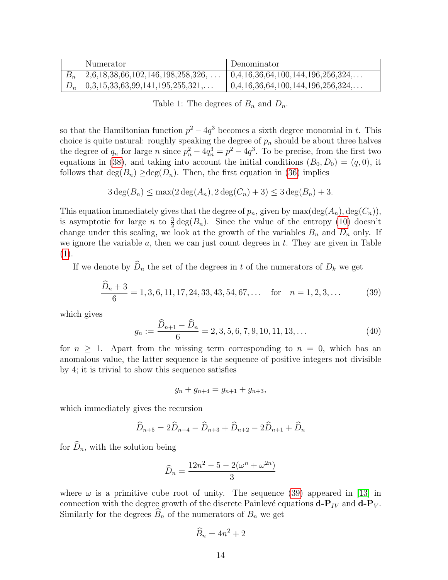| Numerator                                                      | Denominator                                    |
|----------------------------------------------------------------|------------------------------------------------|
| $\vert 2.6, 18, 38, 66, 102, 146, 198, 258, 326, \ldots \vert$ | $\mid 0,4,16,36,64,100,144,196,256,324,\ldots$ |
| $D_n$   0,3,15,33,63,99,141,195,255,321,                       | $0,4,16,36,64,100,144,196,256,324,\ldots$      |

<span id="page-14-1"></span>Table 1: The degrees of  $B_n$  and  $D_n$ .

so that the Hamiltonian function  $p^2 - 4q^3$  becomes a sixth degree monomial in t. This choice is quite natural: roughly speaking the degree of  $p_n$  should be about three halves the degree of  $q_n$  for large n since  $p_n^2 - 4q_n^3 = p^2 - 4q^3$ . To be precise, from the first two equations in [\(38\)](#page-12-1), and taking into account the initial conditions  $(B_0, D_0) = (q, 0)$ , it follows that  $deg(B_n) \geq deg(D_n)$ . Then, the first equation in [\(36\)](#page-12-2) implies

<span id="page-14-0"></span>
$$
3\deg(B_n) \le \max(2\deg(A_n), 2\deg(C_n) + 3) \le 3\deg(B_n) + 3.
$$

This equation immediately gives that the degree of  $p_n$ , given by  $\max(\deg(A_n), \deg(C_n)),$ is asymptotic for large *n* to  $\frac{3}{2} \deg(B_n)$ . Since the value of the entropy [\(10\)](#page-3-6) doesn't change under this scaling, we look at the growth of the variables  $B_n$  and  $D_n$  only. If we ignore the variable  $a$ , then we can just count degrees in  $t$ . They are given in Table [\(1\)](#page-13-0).

If we denote by  $\widehat{D}_n$  the set of the degrees in t of the numerators of  $D_k$  we get

$$
\frac{\widehat{D}_n + 3}{6} = 1, 3, 6, 11, 17, 24, 33, 43, 54, 67, \dots \quad \text{for} \quad n = 1, 2, 3, \dots \tag{39}
$$

which gives

$$
g_n := \frac{\widehat{D}_{n+1} - \widehat{D}_n}{6} = 2, 3, 5, 6, 7, 9, 10, 11, 13, \dots
$$
\n(40)

for  $n \geq 1$ . Apart from the missing term corresponding to  $n = 0$ , which has an anomalous value, the latter sequence is the sequence of positive integers not divisible by 4; it is trivial to show this sequence satisfies

$$
g_n + g_{n+4} = g_{n+1} + g_{n+3},
$$

which immediately gives the recursion

$$
\widehat{D}_{n+5} = 2\widehat{D}_{n+4} - \widehat{D}_{n+3} + \widehat{D}_{n+2} - 2\widehat{D}_{n+1} + \widehat{D}_n
$$

for  $\widehat{D}_n$ , with the solution being

$$
\widehat{D}_n = \frac{12n^2 - 5 - 2(\omega^n + \omega^{2n})}{3}
$$

where  $\omega$  is a primitive cube root of unity. The sequence [\(39\)](#page-13-1) appeared in [\[13\]](#page-16-14) in connection with the degree growth of the discrete Painlevé equations  $\mathbf{d}\text{-}\mathbf{P}_{IV}$  and  $\mathbf{d}\text{-}\mathbf{P}_{V}$ . Similarly for the degrees  $\widehat{B}_n$  of the numerators of  $B_n$  we get

$$
\widehat{B}_n = 4n^2 + 2
$$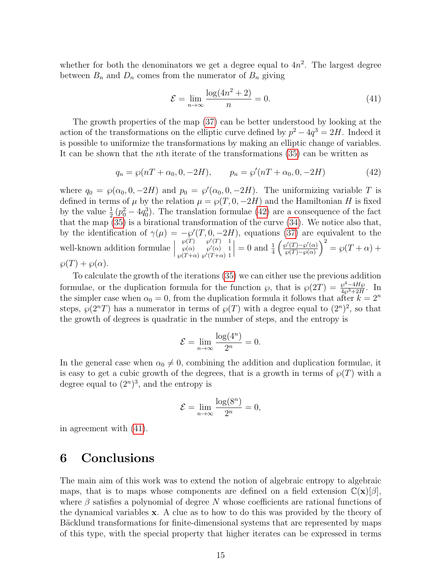whether for both the denominators we get a degree equal to  $4n^2$ . The largest degree between  $B_n$  and  $D_n$  comes from the numerator of  $B_n$  giving

$$
\mathcal{E} = \lim_{n \to \infty} \frac{\log(4n^2 + 2)}{n} = 0.
$$
\n(41)

The growth properties of the map [\(37\)](#page-12-0) can be better understood by looking at the action of the transformations on the elliptic curve defined by  $p^2 - 4q^3 = 2H$ . Indeed it is possible to uniformize the transformations by making an elliptic change of variables. It can be shown that the nth iterate of the transformations [\(35\)](#page-11-0) can be written as

$$
q_n = \wp(nT + \alpha_0, 0, -2H), \qquad p_n = \wp'(nT + \alpha_0, 0, -2H) \tag{42}
$$

where  $q_0 = \wp(\alpha_0, 0, -2H)$  and  $p_0 = \wp'(\alpha_0, 0, -2H)$ . The uniformizing variable T is defined in terms of  $\mu$  by the relation  $\mu = \wp(T, 0, -2H)$  and the Hamiltonian H is fixed by the value  $\frac{1}{2}(p_0^2 - 4q_0^3)$ . The translation formulae [\(42\)](#page-14-0) are a consequence of the fact that the map [\(35\)](#page-11-0) is a birational transformation of the curve [\(34\)](#page-11-1). We notice also that, by the identification of  $\gamma(\mu) = -\frac{\wp'(T, 0, -2H)}{\wp(T, 0, -2H)}$ , equations [\(37\)](#page-12-0) are equivalent to the well-known addition formulae  $\Big\vert$  $\wp(T)$   $\wp'(T)$  1  $\wp(\alpha)$   $\wp'(\alpha)$  1  $\wp(T+\alpha) \wp'(T+\alpha)$  1  $\Big| = 0$  and  $\frac{1}{4}$  $\int \wp'(T) - \wp'(\alpha)$  $\wp(T)-\wp(\alpha)$  $\bigg)^2 = \wp(T+\alpha) +$  $\wp(T) + \wp(\alpha).$ 

To calculate the growth of the iterations [\(35\)](#page-11-0) we can either use the previous addition formulae, or the duplication formula for the function  $\wp$ , that is  $\wp(2T) = \frac{\wp^4 - 4H\wp}{4\wp^3 + 2H}$  $\frac{\wp - 4H\wp}{4\wp^3 + 2H}$ . In the simpler case when  $\alpha_0 = 0$ , from the duplication formula it follows that after  $k = 2^n$ steps,  $\wp(2^nT)$  has a numerator in terms of  $\wp(T)$  with a degree equal to  $(2^n)^2$ , so that the growth of degrees is quadratic in the number of steps, and the entropy is

$$
\mathcal{E} = \lim_{n \to \infty} \frac{\log(4^n)}{2^n} = 0.
$$

<span id="page-15-4"></span><span id="page-15-2"></span><span id="page-15-0"></span>In the general case when  $\alpha_0 \neq 0$ , combining the addition and duplication formulae, it is easy to get a cubic growth of the degrees, that is a growth in terms of  $\wp(T)$  with a degree equal to  $(2^n)^3$ , and the entropy is

$$
\mathcal{E} = \lim_{n \to \infty} \frac{\log(8^n)}{2^n} = 0,
$$

<span id="page-15-3"></span>in agreement with [\(41\)](#page-14-1).

# <span id="page-15-1"></span>6 Conclusions

<span id="page-15-6"></span><span id="page-15-5"></span>The main aim of this work was to extend the notion of algebraic entropy to algebraic maps, that is to maps whose components are defined on a field extension  $\mathbb{C}(\mathbf{x})[\beta]$ , where  $\beta$  satisfies a polynomial of degree N whose coefficients are rational functions of the dynamical variables x. A clue as to how to do this was provided by the theory of Bäcklund transformations for finite-dimensional systems that are represented by maps of this type, with the special property that higher iterates can be expressed in terms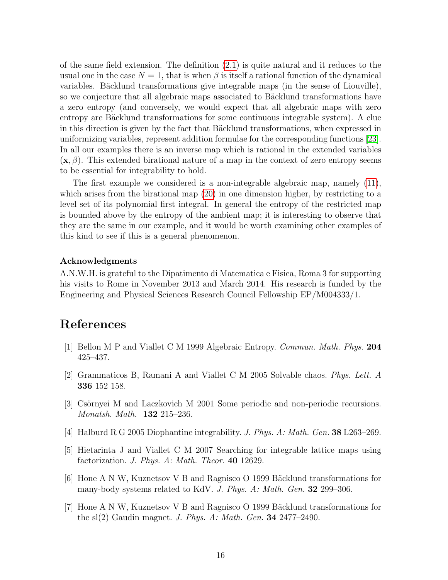<span id="page-16-6"></span><span id="page-16-0"></span>of the same field extension. The definition [\(2.1\)](#page-3-4) is quite natural and it reduces to the usual one in the case  $N = 1$ , that is when  $\beta$  is itself a rational function of the dynamical variables. Bäcklund transformations give integrable maps (in the sense of Liouville), so we conjecture that all algebraic maps associated to Bäcklund transformations have a zero entropy (and conversely, we would expect that all algebraic maps with zero entropy are Bäcklund transformations for some continuous integrable system). A clue in this direction is given by the fact that Bäcklund transformations, when expressed in uniformizing variables, represent addition formulae for the corresponding functions [\[23\]](#page-17-0). In all our examples there is an inverse map which is rational in the extended variables  $(\mathbf{x}, \beta)$ . This extended birational nature of a map in the context of zero entropy seems to be essential for integrability to hold.

<span id="page-16-10"></span><span id="page-16-9"></span><span id="page-16-2"></span>The first example we considered is a non-integrable algebraic map, namely [\(11\)](#page-5-1), which arises from the birational map  $(20)$  in one dimension higher, by restricting to a level set of its polynomial first integral. In general the entropy of the restricted map is bounded above by the entropy of the ambient map; it is interesting to observe that they are the same in our example, and it would be worth examining other examples of this kind to see if this is a general phenomenon.

#### <span id="page-16-14"></span>Acknowledgments

<span id="page-16-11"></span>A.N.W.H. is grateful to the Dipatimento di Matematica e Fisica, Roma 3 for supporting his visits to Rome in November 2013 and March 2014. His research is funded by the Engineering and Physical Sciences Research Council Fellowship EP/M004333/1.

# <span id="page-16-12"></span>References

- <span id="page-16-5"></span>[1] Bellon M P and Viallet C M 1999 Algebraic Entropy. Commun. Math. Phys. 204 425–437.
- <span id="page-16-7"></span>[2] Grammaticos B, Ramani A and Viallet C M 2005 Solvable chaos. Phys. Lett. A 336 152 158.
- <span id="page-16-8"></span>[3] Csörnyei M and Laczkovich M 2001 Some periodic and non-periodic recursions. Monatsh. Math. 132 215–236.
- [4] Halburd R G 2005 Diophantine integrability. J. Phys. A: Math. Gen. 38 L263–269.
- <span id="page-16-3"></span><span id="page-16-1"></span>[5] Hietarinta J and Viallet C M 2007 Searching for integrable lattice maps using factorization. *J. Phys. A: Math. Theor.* **40** 12629.
- <span id="page-16-4"></span> $[6]$  Hone A N W, Kuznetsov V B and Ragnisco O 1999 Bäcklund transformations for many-body systems related to KdV. J. Phys. A: Math. Gen. 32 299–306.
- <span id="page-16-13"></span>[7] Hone A N W, Kuznetsov V B and Ragnisco O 1999 Bäcklund transformations for the sl(2) Gaudin magnet. J. Phys. A: Math. Gen. 34 2477–2490.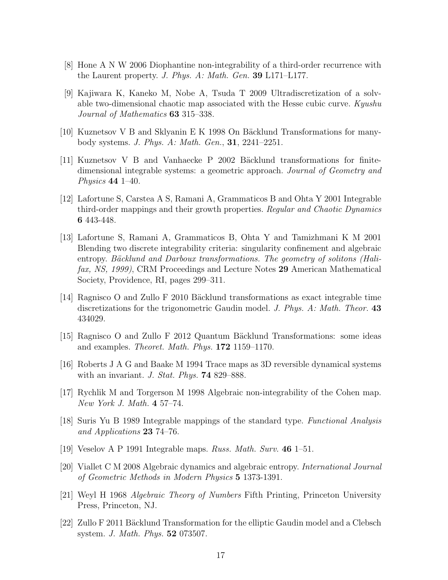- <span id="page-17-0"></span>[8] Hone A N W 2006 Diophantine non-integrability of a third-order recurrence with the Laurent property. J. Phys. A: Math. Gen. 39 L171–L177.
- <span id="page-17-1"></span>[9] Kajiwara K, Kaneko M, Nobe A, Tsuda T 2009 Ultradiscretization of a solvable two-dimensional chaotic map associated with the Hesse cubic curve. Kyushu Journal of Mathematics 63 315–338.
- [10] Kuznetsov V B and Sklyanin E K 1998 On Bäcklund Transformations for manybody systems. J. Phys. A: Math. Gen., 31, 2241–2251.
- [11] Kuznetsov V B and Vanhaecke P 2002 Bäcklund transformations for finitedimensional integrable systems: a geometric approach. Journal of Geometry and Physics 44 1–40.
- [12] Lafortune S, Carstea A S, Ramani A, Grammaticos B and Ohta Y 2001 Integrable third-order mappings and their growth properties. Regular and Chaotic Dynamics 6 443-448.
- [13] Lafortune S, Ramani A, Grammaticos B, Ohta Y and Tamizhmani K M 2001 Blending two discrete integrability criteria: singularity confinement and algebraic entropy. Bäcklund and Darboux transformations. The geometry of solitons (Halifax, NS, 1999), CRM Proceedings and Lecture Notes 29 American Mathematical Society, Providence, RI, pages 299–311.
- [14] Ragnisco O and Zullo F 2010 Bäcklund transformations as exact integrable time discretizations for the trigonometric Gaudin model. J. Phys. A: Math. Theor. 43 434029.
- [15] Ragnisco O and Zullo F 2012 Quantum Bäcklund Transformations: some ideas and examples. Theoret. Math. Phys. 172 1159–1170.
- [16] Roberts J A G and Baake M 1994 Trace maps as 3D reversible dynamical systems with an invariant. J. Stat. Phys. **74** 829–888.
- [17] Rychlik M and Torgerson M 1998 Algebraic non-integrability of the Cohen map. New York J. Math. 4 57–74.
- [18] Suris Yu B 1989 Integrable mappings of the standard type. Functional Analysis and Applications 23 74–76.
- [19] Veselov A P 1991 Integrable maps. Russ. Math. Surv. 46 1–51.
- [20] Viallet C M 2008 Algebraic dynamics and algebraic entropy. International Journal of Geometric Methods in Modern Physics 5 1373-1391.
- [21] Weyl H 1968 Algebraic Theory of Numbers Fifth Printing, Princeton University Press, Princeton, NJ.
- $[22]$  Zullo F 2011 Bäcklund Transformation for the elliptic Gaudin model and a Clebsch system. J. Math. Phys. 52 073507.